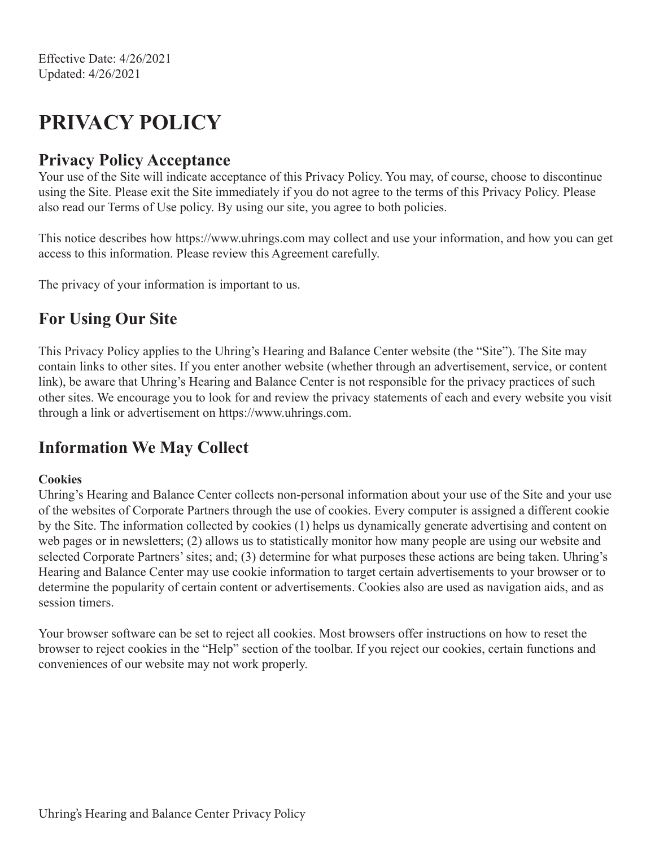# **PRIVACY POLICY**

#### **Privacy Policy Acceptance**

Your use of the Site will indicate acceptance of this Privacy Policy. You may, of course, choose to discontinue using the Site. Please exit the Site immediately if you do not agree to the terms of this Privacy Policy. Please also read our Terms of Use policy. By using our site, you agree to both policies.

This notice describes how https://www.uhrings.com may collect and use your information, and how you can get access to this information. Please review this Agreement carefully.

The privacy of your information is important to us.

## **For Using Our Site**

This Privacy Policy applies to the Uhring's Hearing and Balance Center website (the "Site"). The Site may contain links to other sites. If you enter another website (whether through an advertisement, service, or content link), be aware that Uhring's Hearing and Balance Center is not responsible for the privacy practices of such other sites. We encourage you to look for and review the privacy statements of each and every website you visit through a link or advertisement on https://www.uhrings.com.

#### **Information We May Collect**

#### **Cookies**

Uhring's Hearing and Balance Center collects non-personal information about your use of the Site and your use of the websites of Corporate Partners through the use of cookies. Every computer is assigned a different cookie by the Site. The information collected by cookies (1) helps us dynamically generate advertising and content on web pages or in newsletters; (2) allows us to statistically monitor how many people are using our website and selected Corporate Partners' sites; and; (3) determine for what purposes these actions are being taken. Uhring's Hearing and Balance Center may use cookie information to target certain advertisements to your browser or to determine the popularity of certain content or advertisements. Cookies also are used as navigation aids, and as session timers.

Your browser software can be set to reject all cookies. Most browsers offer instructions on how to reset the browser to reject cookies in the "Help" section of the toolbar. If you reject our cookies, certain functions and conveniences of our website may not work properly.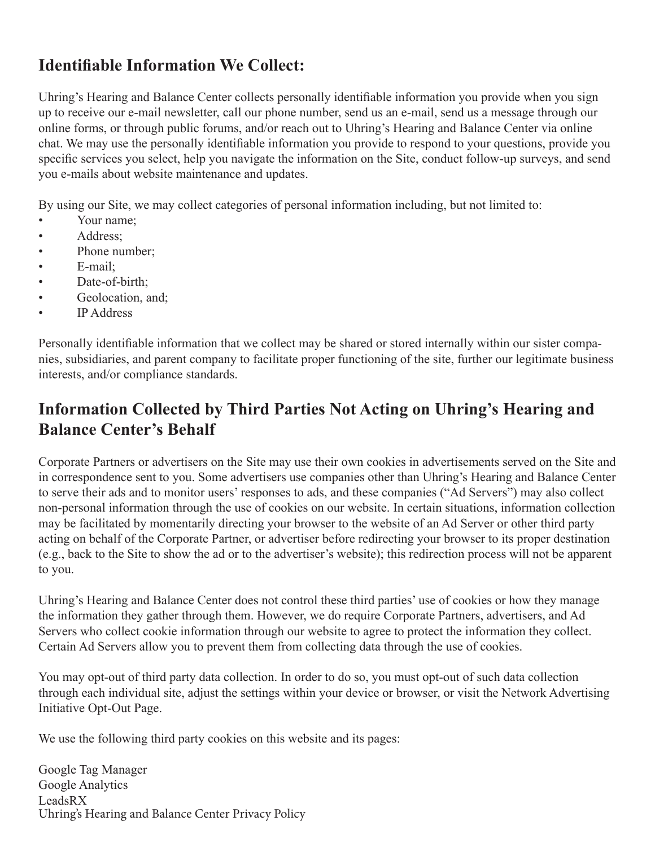# **Identifiable Information We Collect:**

Uhring's Hearing and Balance Center collects personally identifiable information you provide when you sign up to receive our e-mail newsletter, call our phone number, send us an e-mail, send us a message through our online forms, or through public forums, and/or reach out to Uhring's Hearing and Balance Center via online chat. We may use the personally identifiable information you provide to respond to your questions, provide you specific services you select, help you navigate the information on the Site, conduct follow-up surveys, and send you e-mails about website maintenance and updates.

By using our Site, we may collect categories of personal information including, but not limited to:

- Your name:
- Address;
- Phone number;
- E-mail;
- Date-of-birth:
- Geolocation, and;
- IP Address

Personally identifiable information that we collect may be shared or stored internally within our sister companies, subsidiaries, and parent company to facilitate proper functioning of the site, further our legitimate business interests, and/or compliance standards.

# **Information Collected by Third Parties Not Acting on Uhring's Hearing and Balance Center's Behalf**

Corporate Partners or advertisers on the Site may use their own cookies in advertisements served on the Site and in correspondence sent to you. Some advertisers use companies other than Uhring's Hearing and Balance Center to serve their ads and to monitor users' responses to ads, and these companies ("Ad Servers") may also collect non-personal information through the use of cookies on our website. In certain situations, information collection may be facilitated by momentarily directing your browser to the website of an Ad Server or other third party acting on behalf of the Corporate Partner, or advertiser before redirecting your browser to its proper destination (e.g., back to the Site to show the ad or to the advertiser's website); this redirection process will not be apparent to you.

Uhring's Hearing and Balance Center does not control these third parties' use of cookies or how they manage the information they gather through them. However, we do require Corporate Partners, advertisers, and Ad Servers who collect cookie information through our website to agree to protect the information they collect. Certain Ad Servers allow you to prevent them from collecting data through the use of cookies.

You may opt-out of third party data collection. In order to do so, you must opt-out of such data collection through each individual site, adjust the settings within your device or browser, or visit the Network Advertising Initiative Opt-Out Page.

We use the following third party cookies on this website and its pages:

Google Tag Manager Google Analytics LeadsRX Uhring's Hearing and Balance Center Privacy Policy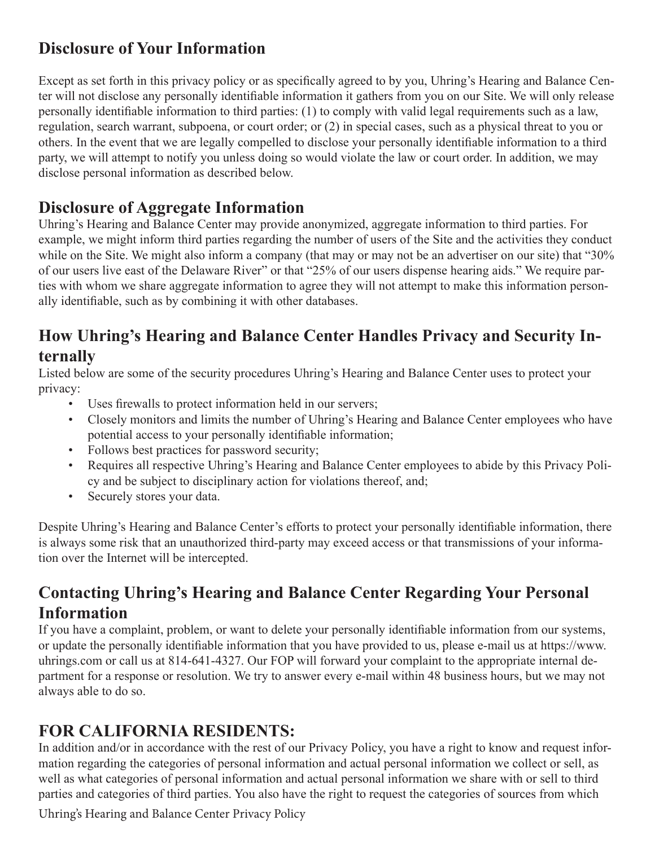# **Disclosure of Your Information**

Except as set forth in this privacy policy or as specifically agreed to by you, Uhring's Hearing and Balance Center will not disclose any personally identifiable information it gathers from you on our Site. We will only release personally identifiable information to third parties: (1) to comply with valid legal requirements such as a law, regulation, search warrant, subpoena, or court order; or (2) in special cases, such as a physical threat to you or others. In the event that we are legally compelled to disclose your personally identifiable information to a third party, we will attempt to notify you unless doing so would violate the law or court order. In addition, we may disclose personal information as described below.

#### **Disclosure of Aggregate Information**

Uhring's Hearing and Balance Center may provide anonymized, aggregate information to third parties. For example, we might inform third parties regarding the number of users of the Site and the activities they conduct while on the Site. We might also inform a company (that may or may not be an advertiser on our site) that "30% of our users live east of the Delaware River" or that "25% of our users dispense hearing aids." We require parties with whom we share aggregate information to agree they will not attempt to make this information personally identifiable, such as by combining it with other databases.

#### **How Uhring's Hearing and Balance Center Handles Privacy and Security Internally**

Listed below are some of the security procedures Uhring's Hearing and Balance Center uses to protect your privacy:

- Uses firewalls to protect information held in our servers;
- Closely monitors and limits the number of Uhring's Hearing and Balance Center employees who have potential access to your personally identifiable information;
- Follows best practices for password security;
- Requires all respective Uhring's Hearing and Balance Center employees to abide by this Privacy Policy and be subject to disciplinary action for violations thereof, and;
- Securely stores your data.

Despite Uhring's Hearing and Balance Center's efforts to protect your personally identifiable information, there is always some risk that an unauthorized third-party may exceed access or that transmissions of your information over the Internet will be intercepted.

#### **Contacting Uhring's Hearing and Balance Center Regarding Your Personal Information**

If you have a complaint, problem, or want to delete your personally identifiable information from our systems, or update the personally identifiable information that you have provided to us, please e-mail us at https://www. uhrings.com or call us at 814-641-4327. Our FOP will forward your complaint to the appropriate internal department for a response or resolution. We try to answer every e-mail within 48 business hours, but we may not always able to do so.

# **FOR CALIFORNIA RESIDENTS:**

In addition and/or in accordance with the rest of our Privacy Policy, you have a right to know and request information regarding the categories of personal information and actual personal information we collect or sell, as well as what categories of personal information and actual personal information we share with or sell to third parties and categories of third parties. You also have the right to request the categories of sources from which

Uhring's Hearing and Balance Center Privacy Policy